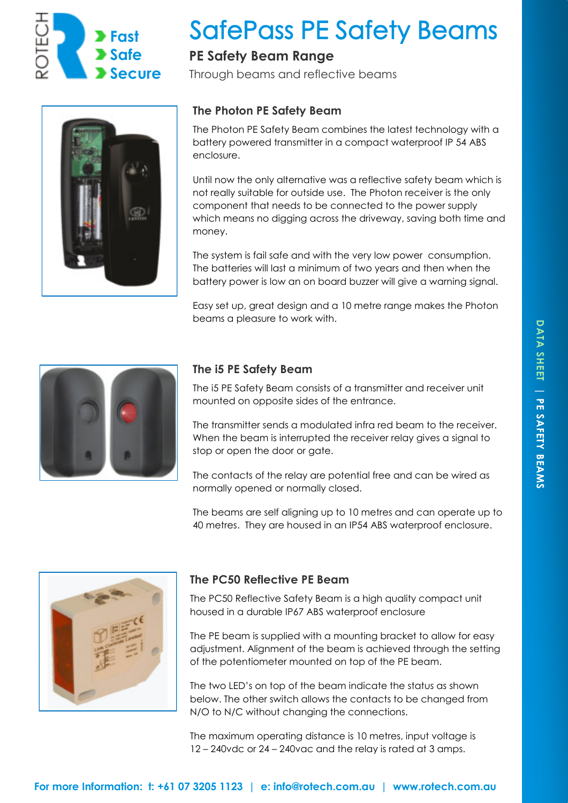

# **SafePass PE Safety Beams**

# **PE Safety Beam Range**

Through beams and reflective beams



## **The Photon PE Safety Beam**

The Photon PE Safety Beam combines the latest technology with a battery powered transmitter in a compact waterproof IP 54 ABS enclosure.

Until now the only alternative was a reflective safety beam which is not really suitable for outside use. The Photon receiver is the only component that needs to be connected to the power supply which means no digging across the driveway, saving both time and money.

The system is fail safe and with the very low power consumption. The batteries will last a minimum of two years and then when the battery power is low an on board buzzer will give a warning signal.

Easy set up, great design and a 10 metre range makes the Photon beams a pleasure to work with.



## **The i5 PE Safety Beam**

The i5 PE Safety Beam consists of a transmitter and receiver unit mounted on opposite sides of the entrance.

The transmitter sends a modulated infra red beam to the receiver. When the beam is interrupted the receiver relay gives a signal to stop or open the door or gate.

The contacts of the relay are potential free and can be wired as normally opened or normally closed.

The beams are self aligning up to 10 metres and can operate up to 40 metres. They are housed in an IP54 ABS waterproof enclosure.



## **The PC50 Reflective PE Beam**

The PC50 Reflective Safety Beam is a high quality compact unit housed in a durable IP67 ABS waterproof enclosure

The PE beam is supplied with a mounting bracket to allow for easy adjustment. Alignment of the beam is achieved through the setting of the potentiometer mounted on top of the PE beam.

The two LED's on top of the beam indicate the status as shown below. The other switch allows the contacts to be changed from N/O to N/C without changing the connections.

The maximum operating distance is 10 metres, input voltage is 12 – 240vdc or 24 – 240vac and the relay is rated at 3 amps.